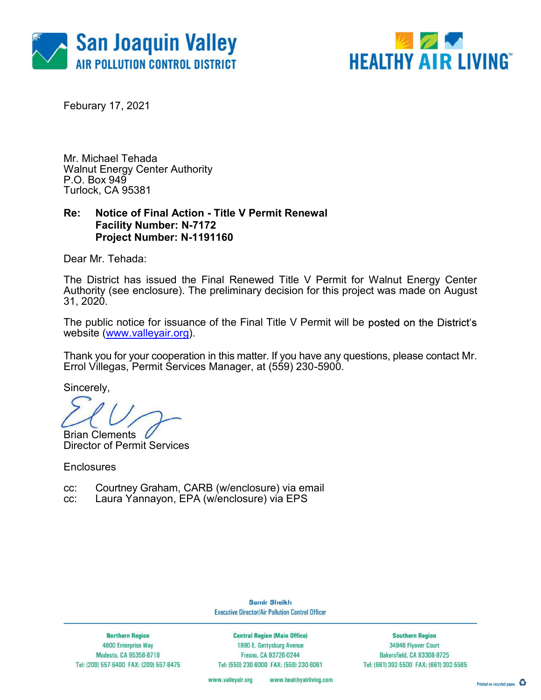



Feburary 17, 2021

Mr. Michael Tehada Walnut Energy Center Authority P.O. Box 949 Turlock, CA 95381

### Re: Notice of Final Action - Title V Permit Renewal Facility Number: N-7172 Project Number: N-1191160

Dear Mr. Tehada:

The District has issued the Final Renewed Title V Permit for Walnut Energy Center Authority (see enclosure). The preliminary decision for this project was made on August 31, 2020.

The public notice for issuance of the Final Title V Permit will be posted on the District's website (www.valleyair.org).

Thank you for your cooperation in this matter. If you have any questions, please contact Mr. Errol Villegas, Permit Services Manager, at (559) 230-5900.

Sincerely,

Brian Clements Director of Permit Services

**Enclosures** 

cc: Courtney Graham, CARB (w/enclosure) via email

cc: Laura Yannayon, EPA (w/enclosure) via EPS

**Samir Sheikh Executive Director/Air Pollution Control Officer** 

**Northern Region 4800 Enterprise Way** Modesto, CA 95356-8718 Tel: (209) 557-6400 FAX: (209) 557-6475

**Central Region (Main Office)** 1990 E. Gettysburg Avenue Fresno, CA 93726-0244 Tel: (559) 230-6000 FAX: (559) 230-6061

**Southern Region** 34946 Flyover Court Bakersfield, CA 93308-9725 Tel: (661) 392-5500 FAX: (661) 392-5585

www.valleyair.org www.healthyairliving.com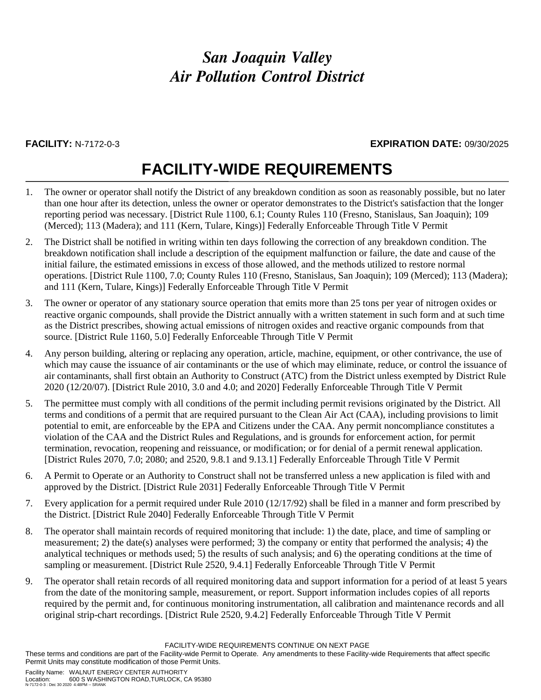### **FACILITY:** N-7172-0-3 **EXPIRATION DATE:** 09/30/2025

## **FACILITY-WIDE REQUIREMENTS**

- 1. The owner or operator shall notify the District of any breakdown condition as soon as reasonably possible, but no later than one hour after its detection, unless the owner or operator demonstrates to the District's satisfaction that the longer reporting period was necessary. [District Rule 1100, 6.1; County Rules 110 (Fresno, Stanislaus, San Joaquin); 109 (Merced); 113 (Madera); and 111 (Kern, Tulare, Kings)] Federally Enforceable Through Title V Permit
- 2. The District shall be notified in writing within ten days following the correction of any breakdown condition. The breakdown notification shall include a description of the equipment malfunction or failure, the date and cause of the initial failure, the estimated emissions in excess of those allowed, and the methods utilized to restore normal operations. [District Rule 1100, 7.0; County Rules 110 (Fresno, Stanislaus, San Joaquin); 109 (Merced); 113 (Madera); and 111 (Kern, Tulare, Kings)] Federally Enforceable Through Title V Permit
- 3. The owner or operator of any stationary source operation that emits more than 25 tons per year of nitrogen oxides or reactive organic compounds, shall provide the District annually with a written statement in such form and at such time as the District prescribes, showing actual emissions of nitrogen oxides and reactive organic compounds from that source. [District Rule 1160, 5.0] Federally Enforceable Through Title V Permit
- 4. Any person building, altering or replacing any operation, article, machine, equipment, or other contrivance, the use of which may cause the issuance of air contaminants or the use of which may eliminate, reduce, or control the issuance of air contaminants, shall first obtain an Authority to Construct (ATC) from the District unless exempted by District Rule 2020 (12/20/07). [District Rule 2010, 3.0 and 4.0; and 2020] Federally Enforceable Through Title V Permit
- 5. The permittee must comply with all conditions of the permit including permit revisions originated by the District. All terms and conditions of a permit that are required pursuant to the Clean Air Act (CAA), including provisions to limit potential to emit, are enforceable by the EPA and Citizens under the CAA. Any permit noncompliance constitutes a violation of the CAA and the District Rules and Regulations, and is grounds for enforcement action, for permit termination, revocation, reopening and reissuance, or modification; or for denial of a permit renewal application. [District Rules 2070, 7.0; 2080; and 2520, 9.8.1 and 9.13.1] Federally Enforceable Through Title V Permit
- 6. A Permit to Operate or an Authority to Construct shall not be transferred unless a new application is filed with and approved by the District. [District Rule 2031] Federally Enforceable Through Title V Permit
- 7. Every application for a permit required under Rule 2010 (12/17/92) shall be filed in a manner and form prescribed by the District. [District Rule 2040] Federally Enforceable Through Title V Permit
- 8. The operator shall maintain records of required monitoring that include: 1) the date, place, and time of sampling or measurement; 2) the date(s) analyses were performed; 3) the company or entity that performed the analysis; 4) the analytical techniques or methods used; 5) the results of such analysis; and 6) the operating conditions at the time of sampling or measurement. [District Rule 2520, 9.4.1] Federally Enforceable Through Title V Permit
- 9. The operator shall retain records of all required monitoring data and support information for a period of at least 5 years from the date of the monitoring sample, measurement, or report. Support information includes copies of all reports required by the permit and, for continuous monitoring instrumentation, all calibration and maintenance records and all original strip-chart recordings. [District Rule 2520, 9.4.2] Federally Enforceable Through Title V Permit

FACILITY-WIDE REQUIREMENTS CONTINUE ON NEXT PAGE

These terms and conditions are part of the Facility-wide Permit to Operate. Any amendments to these Facility-wide Requirements that affect specific Permit Units may constitute modification of those Permit Units.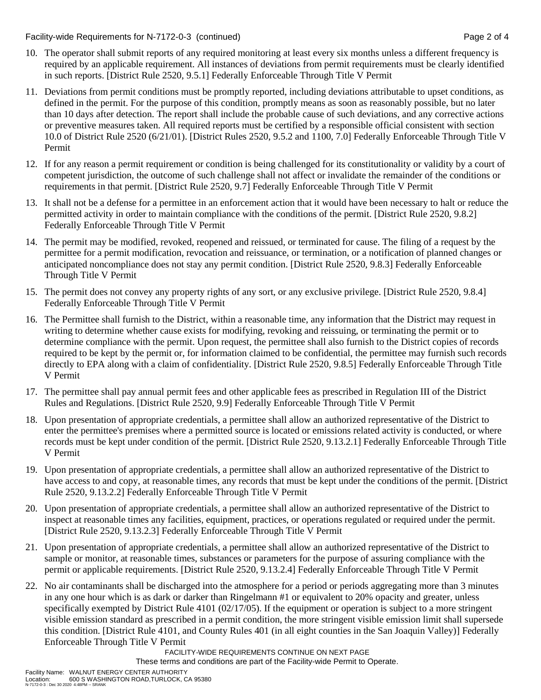Facility-wide Requirements for N-7172-0-3 (continued) Page 2 of 4

- 10. The operator shall submit reports of any required monitoring at least every six months unless a different frequency is required by an applicable requirement. All instances of deviations from permit requirements must be clearly identified in such reports. [District Rule 2520, 9.5.1] Federally Enforceable Through Title V Permit
- 11. Deviations from permit conditions must be promptly reported, including deviations attributable to upset conditions, as defined in the permit. For the purpose of this condition, promptly means as soon as reasonably possible, but no later than 10 days after detection. The report shall include the probable cause of such deviations, and any corrective actions or preventive measures taken. All required reports must be certified by a responsible official consistent with section 10.0 of District Rule 2520 (6/21/01). [District Rules 2520, 9.5.2 and 1100, 7.0] Federally Enforceable Through Title V Permit
- 12. If for any reason a permit requirement or condition is being challenged for its constitutionality or validity by a court of competent jurisdiction, the outcome of such challenge shall not affect or invalidate the remainder of the conditions or requirements in that permit. [District Rule 2520, 9.7] Federally Enforceable Through Title V Permit
- 13. It shall not be a defense for a permittee in an enforcement action that it would have been necessary to halt or reduce the permitted activity in order to maintain compliance with the conditions of the permit. [District Rule 2520, 9.8.2] Federally Enforceable Through Title V Permit
- 14. The permit may be modified, revoked, reopened and reissued, or terminated for cause. The filing of a request by the permittee for a permit modification, revocation and reissuance, or termination, or a notification of planned changes or anticipated noncompliance does not stay any permit condition. [District Rule 2520, 9.8.3] Federally Enforceable Through Title V Permit
- 15. The permit does not convey any property rights of any sort, or any exclusive privilege. [District Rule 2520, 9.8.4] Federally Enforceable Through Title V Permit
- 16. The Permittee shall furnish to the District, within a reasonable time, any information that the District may request in writing to determine whether cause exists for modifying, revoking and reissuing, or terminating the permit or to determine compliance with the permit. Upon request, the permittee shall also furnish to the District copies of records required to be kept by the permit or, for information claimed to be confidential, the permittee may furnish such records directly to EPA along with a claim of confidentiality. [District Rule 2520, 9.8.5] Federally Enforceable Through Title V Permit
- 17. The permittee shall pay annual permit fees and other applicable fees as prescribed in Regulation III of the District Rules and Regulations. [District Rule 2520, 9.9] Federally Enforceable Through Title V Permit
- 18. Upon presentation of appropriate credentials, a permittee shall allow an authorized representative of the District to enter the permittee's premises where a permitted source is located or emissions related activity is conducted, or where records must be kept under condition of the permit. [District Rule 2520, 9.13.2.1] Federally Enforceable Through Title V Permit
- 19. Upon presentation of appropriate credentials, a permittee shall allow an authorized representative of the District to have access to and copy, at reasonable times, any records that must be kept under the conditions of the permit. [District Rule 2520, 9.13.2.2] Federally Enforceable Through Title V Permit
- 20. Upon presentation of appropriate credentials, a permittee shall allow an authorized representative of the District to inspect at reasonable times any facilities, equipment, practices, or operations regulated or required under the permit. [District Rule 2520, 9.13.2.3] Federally Enforceable Through Title V Permit
- 21. Upon presentation of appropriate credentials, a permittee shall allow an authorized representative of the District to sample or monitor, at reasonable times, substances or parameters for the purpose of assuring compliance with the permit or applicable requirements. [District Rule 2520, 9.13.2.4] Federally Enforceable Through Title V Permit
- 22. No air contaminants shall be discharged into the atmosphere for a period or periods aggregating more than 3 minutes in any one hour which is as dark or darker than Ringelmann #1 or equivalent to 20% opacity and greater, unless specifically exempted by District Rule 4101 (02/17/05). If the equipment or operation is subject to a more stringent visible emission standard as prescribed in a permit condition, the more stringent visible emission limit shall supersede this condition. [District Rule 4101, and County Rules 401 (in all eight counties in the San Joaquin Valley)] Federally Enforceable Through Title V Permit

FACILITY-WIDE REQUIREMENTS CONTINUE ON NEXT PAGE

These terms and conditions are part of the Facility-wide Permit to Operate.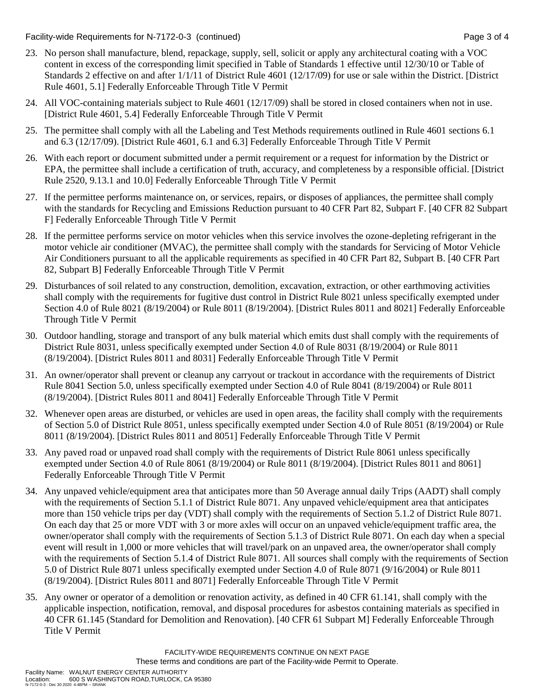Facility-wide Requirements for N-7172-0-3 (continued) Page 3 of 4

- 23. No person shall manufacture, blend, repackage, supply, sell, solicit or apply any architectural coating with a VOC content in excess of the corresponding limit specified in Table of Standards 1 effective until 12/30/10 or Table of Standards 2 effective on and after 1/1/11 of District Rule 4601 (12/17/09) for use or sale within the District. [District Rule 4601, 5.1] Federally Enforceable Through Title V Permit
- 24. All VOC-containing materials subject to Rule 4601 (12/17/09) shall be stored in closed containers when not in use. [District Rule 4601, 5.4] Federally Enforceable Through Title V Permit
- 25. The permittee shall comply with all the Labeling and Test Methods requirements outlined in Rule 4601 sections 6.1 and 6.3 (12/17/09). [District Rule 4601, 6.1 and 6.3] Federally Enforceable Through Title V Permit
- 26. With each report or document submitted under a permit requirement or a request for information by the District or EPA, the permittee shall include a certification of truth, accuracy, and completeness by a responsible official. [District Rule 2520, 9.13.1 and 10.0] Federally Enforceable Through Title V Permit
- 27. If the permittee performs maintenance on, or services, repairs, or disposes of appliances, the permittee shall comply with the standards for Recycling and Emissions Reduction pursuant to 40 CFR Part 82, Subpart F. [40 CFR 82 Subpart F] Federally Enforceable Through Title V Permit
- 28. If the permittee performs service on motor vehicles when this service involves the ozone-depleting refrigerant in the motor vehicle air conditioner (MVAC), the permittee shall comply with the standards for Servicing of Motor Vehicle Air Conditioners pursuant to all the applicable requirements as specified in 40 CFR Part 82, Subpart B. [40 CFR Part 82, Subpart B] Federally Enforceable Through Title V Permit
- 29. Disturbances of soil related to any construction, demolition, excavation, extraction, or other earthmoving activities shall comply with the requirements for fugitive dust control in District Rule 8021 unless specifically exempted under Section 4.0 of Rule 8021 (8/19/2004) or Rule 8011 (8/19/2004). [District Rules 8011 and 8021] Federally Enforceable Through Title V Permit
- 30. Outdoor handling, storage and transport of any bulk material which emits dust shall comply with the requirements of District Rule 8031, unless specifically exempted under Section 4.0 of Rule 8031 (8/19/2004) or Rule 8011 (8/19/2004). [District Rules 8011 and 8031] Federally Enforceable Through Title V Permit
- 31. An owner/operator shall prevent or cleanup any carryout or trackout in accordance with the requirements of District Rule 8041 Section 5.0, unless specifically exempted under Section 4.0 of Rule 8041 (8/19/2004) or Rule 8011 (8/19/2004). [District Rules 8011 and 8041] Federally Enforceable Through Title V Permit
- 32. Whenever open areas are disturbed, or vehicles are used in open areas, the facility shall comply with the requirements of Section 5.0 of District Rule 8051, unless specifically exempted under Section 4.0 of Rule 8051 (8/19/2004) or Rule 8011 (8/19/2004). [District Rules 8011 and 8051] Federally Enforceable Through Title V Permit
- 33. Any paved road or unpaved road shall comply with the requirements of District Rule 8061 unless specifically exempted under Section 4.0 of Rule 8061 (8/19/2004) or Rule 8011 (8/19/2004). [District Rules 8011 and 8061] Federally Enforceable Through Title V Permit
- 34. Any unpaved vehicle/equipment area that anticipates more than 50 Average annual daily Trips (AADT) shall comply with the requirements of Section 5.1.1 of District Rule 8071. Any unpaved vehicle/equipment area that anticipates more than 150 vehicle trips per day (VDT) shall comply with the requirements of Section 5.1.2 of District Rule 8071. On each day that 25 or more VDT with 3 or more axles will occur on an unpaved vehicle/equipment traffic area, the owner/operator shall comply with the requirements of Section 5.1.3 of District Rule 8071. On each day when a special event will result in 1,000 or more vehicles that will travel/park on an unpaved area, the owner/operator shall comply with the requirements of Section 5.1.4 of District Rule 8071. All sources shall comply with the requirements of Section 5.0 of District Rule 8071 unless specifically exempted under Section 4.0 of Rule 8071 (9/16/2004) or Rule 8011 (8/19/2004). [District Rules 8011 and 8071] Federally Enforceable Through Title V Permit
- 35. Any owner or operator of a demolition or renovation activity, as defined in 40 CFR 61.141, shall comply with the applicable inspection, notification, removal, and disposal procedures for asbestos containing materials as specified in 40 CFR 61.145 (Standard for Demolition and Renovation). [40 CFR 61 Subpart M] Federally Enforceable Through Title V Permit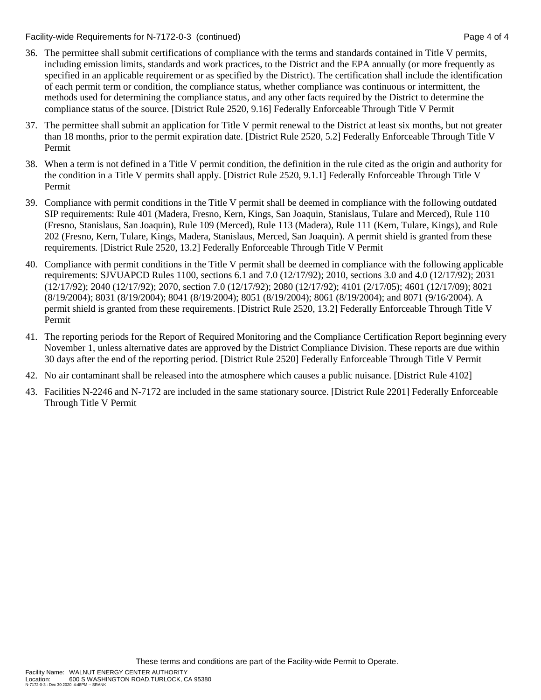Facility-wide Requirements for N-7172-0-3 (continued) Page 4 of 4

- 36. The permittee shall submit certifications of compliance with the terms and standards contained in Title V permits, including emission limits, standards and work practices, to the District and the EPA annually (or more frequently as specified in an applicable requirement or as specified by the District). The certification shall include the identification of each permit term or condition, the compliance status, whether compliance was continuous or intermittent, the methods used for determining the compliance status, and any other facts required by the District to determine the compliance status of the source. [District Rule 2520, 9.16] Federally Enforceable Through Title V Permit
- 37. The permittee shall submit an application for Title V permit renewal to the District at least six months, but not greater than 18 months, prior to the permit expiration date. [District Rule 2520, 5.2] Federally Enforceable Through Title V Permit
- 38. When a term is not defined in a Title V permit condition, the definition in the rule cited as the origin and authority for the condition in a Title V permits shall apply. [District Rule 2520, 9.1.1] Federally Enforceable Through Title V Permit
- 39. Compliance with permit conditions in the Title V permit shall be deemed in compliance with the following outdated SIP requirements: Rule 401 (Madera, Fresno, Kern, Kings, San Joaquin, Stanislaus, Tulare and Merced), Rule 110 (Fresno, Stanislaus, San Joaquin), Rule 109 (Merced), Rule 113 (Madera), Rule 111 (Kern, Tulare, Kings), and Rule 202 (Fresno, Kern, Tulare, Kings, Madera, Stanislaus, Merced, San Joaquin). A permit shield is granted from these requirements. [District Rule 2520, 13.2] Federally Enforceable Through Title V Permit
- 40. Compliance with permit conditions in the Title V permit shall be deemed in compliance with the following applicable requirements: SJVUAPCD Rules 1100, sections 6.1 and 7.0 (12/17/92); 2010, sections 3.0 and 4.0 (12/17/92); 2031 (12/17/92); 2040 (12/17/92); 2070, section 7.0 (12/17/92); 2080 (12/17/92); 4101 (2/17/05); 4601 (12/17/09); 8021 (8/19/2004); 8031 (8/19/2004); 8041 (8/19/2004); 8051 (8/19/2004); 8061 (8/19/2004); and 8071 (9/16/2004). A permit shield is granted from these requirements. [District Rule 2520, 13.2] Federally Enforceable Through Title V Permit
- 41. The reporting periods for the Report of Required Monitoring and the Compliance Certification Report beginning every November 1, unless alternative dates are approved by the District Compliance Division. These reports are due within 30 days after the end of the reporting period. [District Rule 2520] Federally Enforceable Through Title V Permit
- 42. No air contaminant shall be released into the atmosphere which causes a public nuisance. [District Rule 4102]
- 43. Facilities N-2246 and N-7172 are included in the same stationary source. [District Rule 2201] Federally Enforceable Through Title V Permit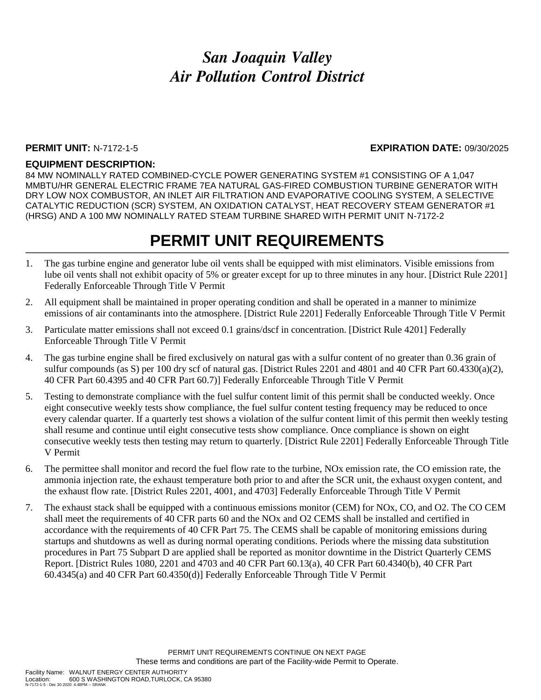#### **PERMIT UNIT:** N-7172-1-5 **EXPIRATION DATE:** 09/30/2025

#### **EQUIPMENT DESCRIPTION:**

84 MW NOMINALLY RATED COMBINED-CYCLE POWER GENERATING SYSTEM #1 CONSISTING OF A 1,047 MMBTU/HR GENERAL ELECTRIC FRAME 7EA NATURAL GAS-FIRED COMBUSTION TURBINE GENERATOR WITH DRY LOW NOX COMBUSTOR, AN INLET AIR FILTRATION AND EVAPORATIVE COOLING SYSTEM, A SELECTIVE CATALYTIC REDUCTION (SCR) SYSTEM, AN OXIDATION CATALYST, HEAT RECOVERY STEAM GENERATOR #1 (HRSG) AND A 100 MW NOMINALLY RATED STEAM TURBINE SHARED WITH PERMIT UNIT N-7172-2

### **PERMIT UNIT REQUIREMENTS**

- 1. The gas turbine engine and generator lube oil vents shall be equipped with mist eliminators. Visible emissions from lube oil vents shall not exhibit opacity of 5% or greater except for up to three minutes in any hour. [District Rule 2201] Federally Enforceable Through Title V Permit
- 2. All equipment shall be maintained in proper operating condition and shall be operated in a manner to minimize emissions of air contaminants into the atmosphere. [District Rule 2201] Federally Enforceable Through Title V Permit
- 3. Particulate matter emissions shall not exceed 0.1 grains/dscf in concentration. [District Rule 4201] Federally Enforceable Through Title V Permit
- 4. The gas turbine engine shall be fired exclusively on natural gas with a sulfur content of no greater than 0.36 grain of sulfur compounds (as S) per 100 dry scf of natural gas. [District Rules 2201 and 4801 and 40 CFR Part 60.4330(a)(2), 40 CFR Part 60.4395 and 40 CFR Part 60.7)] Federally Enforceable Through Title V Permit
- 5. Testing to demonstrate compliance with the fuel sulfur content limit of this permit shall be conducted weekly. Once eight consecutive weekly tests show compliance, the fuel sulfur content testing frequency may be reduced to once every calendar quarter. If a quarterly test shows a violation of the sulfur content limit of this permit then weekly testing shall resume and continue until eight consecutive tests show compliance. Once compliance is shown on eight consecutive weekly tests then testing may return to quarterly. [District Rule 2201] Federally Enforceable Through Title V Permit
- 6. The permittee shall monitor and record the fuel flow rate to the turbine, NOx emission rate, the CO emission rate, the ammonia injection rate, the exhaust temperature both prior to and after the SCR unit, the exhaust oxygen content, and the exhaust flow rate. [District Rules 2201, 4001, and 4703] Federally Enforceable Through Title V Permit
- 7. The exhaust stack shall be equipped with a continuous emissions monitor (CEM) for NOx, CO, and O2. The CO CEM shall meet the requirements of 40 CFR parts 60 and the NOx and O2 CEMS shall be installed and certified in accordance with the requirements of 40 CFR Part 75. The CEMS shall be capable of monitoring emissions during startups and shutdowns as well as during normal operating conditions. Periods where the missing data substitution procedures in Part 75 Subpart D are applied shall be reported as monitor downtime in the District Quarterly CEMS Report. [District Rules 1080, 2201 and 4703 and 40 CFR Part 60.13(a), 40 CFR Part 60.4340(b), 40 CFR Part 60.4345(a) and 40 CFR Part 60.4350(d)] Federally Enforceable Through Title V Permit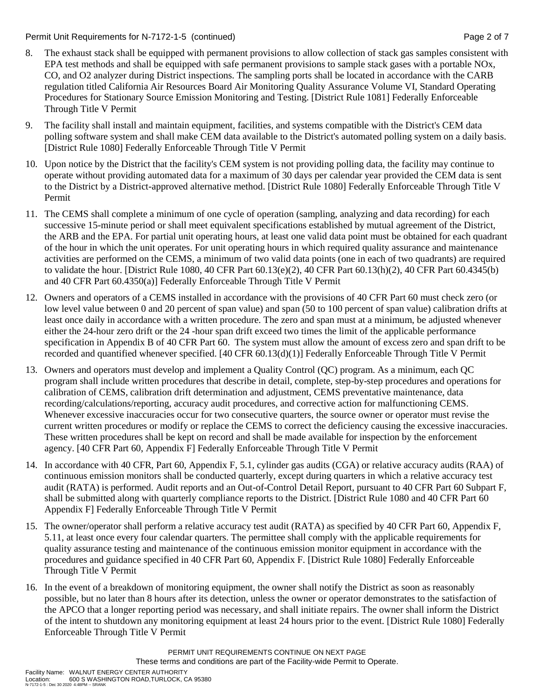#### Permit Unit Requirements for N-7172-1-5 (continued) Page 2 of 7

- 8. The exhaust stack shall be equipped with permanent provisions to allow collection of stack gas samples consistent with EPA test methods and shall be equipped with safe permanent provisions to sample stack gases with a portable NOx, CO, and O2 analyzer during District inspections. The sampling ports shall be located in accordance with the CARB regulation titled California Air Resources Board Air Monitoring Quality Assurance Volume VI, Standard Operating Procedures for Stationary Source Emission Monitoring and Testing. [District Rule 1081] Federally Enforceable Through Title V Permit
- 9. The facility shall install and maintain equipment, facilities, and systems compatible with the District's CEM data polling software system and shall make CEM data available to the District's automated polling system on a daily basis. [District Rule 1080] Federally Enforceable Through Title V Permit
- 10. Upon notice by the District that the facility's CEM system is not providing polling data, the facility may continue to operate without providing automated data for a maximum of 30 days per calendar year provided the CEM data is sent to the District by a District-approved alternative method. [District Rule 1080] Federally Enforceable Through Title V Permit
- 11. The CEMS shall complete a minimum of one cycle of operation (sampling, analyzing and data recording) for each successive 15-minute period or shall meet equivalent specifications established by mutual agreement of the District, the ARB and the EPA. For partial unit operating hours, at least one valid data point must be obtained for each quadrant of the hour in which the unit operates. For unit operating hours in which required quality assurance and maintenance activities are performed on the CEMS, a minimum of two valid data points (one in each of two quadrants) are required to validate the hour. [District Rule 1080, 40 CFR Part 60.13(e)(2), 40 CFR Part 60.13(h)(2), 40 CFR Part 60.4345(b) and 40 CFR Part 60.4350(a)] Federally Enforceable Through Title V Permit
- 12. Owners and operators of a CEMS installed in accordance with the provisions of 40 CFR Part 60 must check zero (or low level value between 0 and 20 percent of span value) and span (50 to 100 percent of span value) calibration drifts at least once daily in accordance with a written procedure. The zero and span must at a minimum, be adjusted whenever either the 24-hour zero drift or the 24 -hour span drift exceed two times the limit of the applicable performance specification in Appendix B of 40 CFR Part 60. The system must allow the amount of excess zero and span drift to be recorded and quantified whenever specified. [40 CFR 60.13(d)(1)] Federally Enforceable Through Title V Permit
- 13. Owners and operators must develop and implement a Quality Control (QC) program. As a minimum, each QC program shall include written procedures that describe in detail, complete, step-by-step procedures and operations for calibration of CEMS, calibration drift determination and adjustment, CEMS preventative maintenance, data recording/calculations/reporting, accuracy audit procedures, and corrective action for malfunctioning CEMS. Whenever excessive inaccuracies occur for two consecutive quarters, the source owner or operator must revise the current written procedures or modify or replace the CEMS to correct the deficiency causing the excessive inaccuracies. These written procedures shall be kept on record and shall be made available for inspection by the enforcement agency. [40 CFR Part 60, Appendix F] Federally Enforceable Through Title V Permit
- 14. In accordance with 40 CFR, Part 60, Appendix F, 5.1, cylinder gas audits (CGA) or relative accuracy audits (RAA) of continuous emission monitors shall be conducted quarterly, except during quarters in which a relative accuracy test audit (RATA) is performed. Audit reports and an Out-of-Control Detail Report, pursuant to 40 CFR Part 60 Subpart F, shall be submitted along with quarterly compliance reports to the District. [District Rule 1080 and 40 CFR Part 60 Appendix F] Federally Enforceable Through Title V Permit
- 15. The owner/operator shall perform a relative accuracy test audit (RATA) as specified by 40 CFR Part 60, Appendix F, 5.11, at least once every four calendar quarters. The permittee shall comply with the applicable requirements for quality assurance testing and maintenance of the continuous emission monitor equipment in accordance with the procedures and guidance specified in 40 CFR Part 60, Appendix F. [District Rule 1080] Federally Enforceable Through Title V Permit
- 16. In the event of a breakdown of monitoring equipment, the owner shall notify the District as soon as reasonably possible, but no later than 8 hours after its detection, unless the owner or operator demonstrates to the satisfaction of the APCO that a longer reporting period was necessary, and shall initiate repairs. The owner shall inform the District of the intent to shutdown any monitoring equipment at least 24 hours prior to the event. [District Rule 1080] Federally Enforceable Through Title V Permit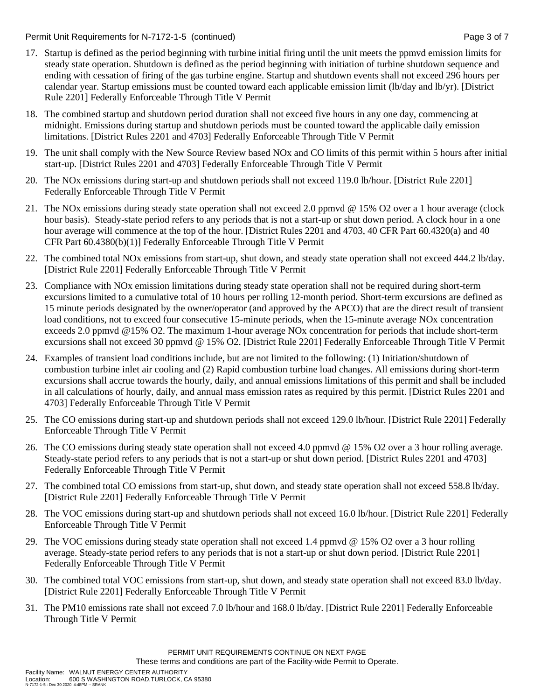Permit Unit Requirements for N-7172-1-5 (continued) Page 3 of 7

- 17. Startup is defined as the period beginning with turbine initial firing until the unit meets the ppmvd emission limits for steady state operation. Shutdown is defined as the period beginning with initiation of turbine shutdown sequence and ending with cessation of firing of the gas turbine engine. Startup and shutdown events shall not exceed 296 hours per calendar year. Startup emissions must be counted toward each applicable emission limit (lb/day and lb/yr). [District Rule 2201] Federally Enforceable Through Title V Permit
- 18. The combined startup and shutdown period duration shall not exceed five hours in any one day, commencing at midnight. Emissions during startup and shutdown periods must be counted toward the applicable daily emission limitations. [District Rules 2201 and 4703] Federally Enforceable Through Title V Permit
- 19. The unit shall comply with the New Source Review based NOx and CO limits of this permit within 5 hours after initial start-up. [District Rules 2201 and 4703] Federally Enforceable Through Title V Permit
- 20. The NOx emissions during start-up and shutdown periods shall not exceed 119.0 lb/hour. [District Rule 2201] Federally Enforceable Through Title V Permit
- 21. The NOx emissions during steady state operation shall not exceed 2.0 ppmvd @ 15% O2 over a 1 hour average (clock hour basis). Steady-state period refers to any periods that is not a start-up or shut down period. A clock hour in a one hour average will commence at the top of the hour. [District Rules 2201 and 4703, 40 CFR Part 60.4320(a) and 40 CFR Part 60.4380(b)(1)] Federally Enforceable Through Title V Permit
- 22. The combined total NOx emissions from start-up, shut down, and steady state operation shall not exceed 444.2 lb/day. [District Rule 2201] Federally Enforceable Through Title V Permit
- 23. Compliance with NOx emission limitations during steady state operation shall not be required during short-term excursions limited to a cumulative total of 10 hours per rolling 12-month period. Short-term excursions are defined as 15 minute periods designated by the owner/operator (and approved by the APCO) that are the direct result of transient load conditions, not to exceed four consecutive 15-minute periods, when the 15-minute average NOx concentration exceeds 2.0 ppmvd @15% O2. The maximum 1-hour average NOx concentration for periods that include short-term excursions shall not exceed 30 ppmvd @ 15% O2. [District Rule 2201] Federally Enforceable Through Title V Permit
- 24. Examples of transient load conditions include, but are not limited to the following: (1) Initiation/shutdown of combustion turbine inlet air cooling and (2) Rapid combustion turbine load changes. All emissions during short-term excursions shall accrue towards the hourly, daily, and annual emissions limitations of this permit and shall be included in all calculations of hourly, daily, and annual mass emission rates as required by this permit. [District Rules 2201 and 4703] Federally Enforceable Through Title V Permit
- 25. The CO emissions during start-up and shutdown periods shall not exceed 129.0 lb/hour. [District Rule 2201] Federally Enforceable Through Title V Permit
- 26. The CO emissions during steady state operation shall not exceed 4.0 ppmvd @ 15% O2 over a 3 hour rolling average. Steady-state period refers to any periods that is not a start-up or shut down period. [District Rules 2201 and 4703] Federally Enforceable Through Title V Permit
- 27. The combined total CO emissions from start-up, shut down, and steady state operation shall not exceed 558.8 lb/day. [District Rule 2201] Federally Enforceable Through Title V Permit
- 28. The VOC emissions during start-up and shutdown periods shall not exceed 16.0 lb/hour. [District Rule 2201] Federally Enforceable Through Title V Permit
- 29. The VOC emissions during steady state operation shall not exceed 1.4 ppmvd @ 15% O2 over a 3 hour rolling average. Steady-state period refers to any periods that is not a start-up or shut down period. [District Rule 2201] Federally Enforceable Through Title V Permit
- 30. The combined total VOC emissions from start-up, shut down, and steady state operation shall not exceed 83.0 lb/day. [District Rule 2201] Federally Enforceable Through Title V Permit
- 31. The PM10 emissions rate shall not exceed 7.0 lb/hour and 168.0 lb/day. [District Rule 2201] Federally Enforceable Through Title V Permit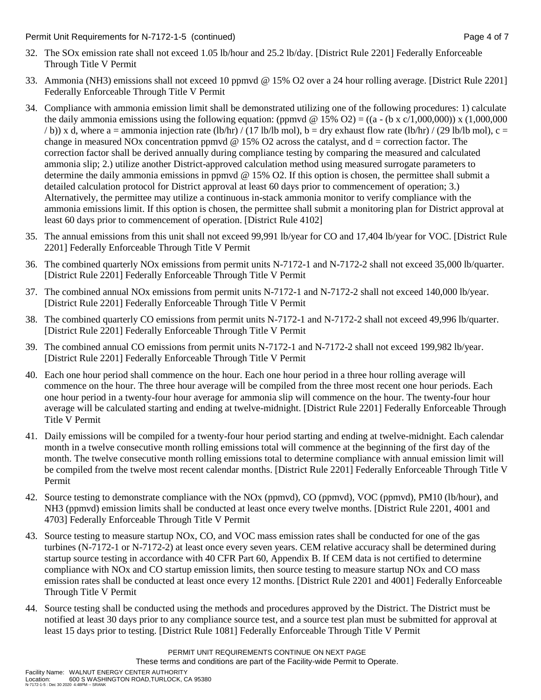Permit Unit Requirements for N-7172-1-5 (continued) Page 4 of 7

- 32. The SOx emission rate shall not exceed 1.05 lb/hour and 25.2 lb/day. [District Rule 2201] Federally Enforceable Through Title V Permit
- 33. Ammonia (NH3) emissions shall not exceed 10 ppmvd @ 15% O2 over a 24 hour rolling average. [District Rule 2201] Federally Enforceable Through Title V Permit
- 34. Compliance with ammonia emission limit shall be demonstrated utilizing one of the following procedures: 1) calculate the daily ammonia emissions using the following equation: (ppmvd @ 15% O2) = ((a - (b x c/1,000,000)) x (1,000,000)  $(16)$ ) x d, where a = ammonia injection rate (lb/hr)  $(17 1b/1b \text{ mol})$ , b = dry exhaust flow rate (lb/hr)  $(29 1b/1b \text{ mol})$ , c = change in measured NOx concentration ppmvd  $\omega$  15% O2 across the catalyst, and d = correction factor. The correction factor shall be derived annually during compliance testing by comparing the measured and calculated ammonia slip; 2.) utilize another District-approved calculation method using measured surrogate parameters to determine the daily ammonia emissions in ppmvd @ 15% O2. If this option is chosen, the permittee shall submit a detailed calculation protocol for District approval at least 60 days prior to commencement of operation; 3.) Alternatively, the permittee may utilize a continuous in-stack ammonia monitor to verify compliance with the ammonia emissions limit. If this option is chosen, the permittee shall submit a monitoring plan for District approval at least 60 days prior to commencement of operation. [District Rule 4102]
- 35. The annual emissions from this unit shall not exceed 99,991 lb/year for CO and 17,404 lb/year for VOC. [District Rule 2201] Federally Enforceable Through Title V Permit
- 36. The combined quarterly NOx emissions from permit units N-7172-1 and N-7172-2 shall not exceed 35,000 lb/quarter. [District Rule 2201] Federally Enforceable Through Title V Permit
- 37. The combined annual NOx emissions from permit units N-7172-1 and N-7172-2 shall not exceed 140,000 lb/year. [District Rule 2201] Federally Enforceable Through Title V Permit
- 38. The combined quarterly CO emissions from permit units N-7172-1 and N-7172-2 shall not exceed 49,996 lb/quarter. [District Rule 2201] Federally Enforceable Through Title V Permit
- 39. The combined annual CO emissions from permit units N-7172-1 and N-7172-2 shall not exceed 199,982 lb/year. [District Rule 2201] Federally Enforceable Through Title V Permit
- 40. Each one hour period shall commence on the hour. Each one hour period in a three hour rolling average will commence on the hour. The three hour average will be compiled from the three most recent one hour periods. Each one hour period in a twenty-four hour average for ammonia slip will commence on the hour. The twenty-four hour average will be calculated starting and ending at twelve-midnight. [District Rule 2201] Federally Enforceable Through Title V Permit
- 41. Daily emissions will be compiled for a twenty-four hour period starting and ending at twelve-midnight. Each calendar month in a twelve consecutive month rolling emissions total will commence at the beginning of the first day of the month. The twelve consecutive month rolling emissions total to determine compliance with annual emission limit will be compiled from the twelve most recent calendar months. [District Rule 2201] Federally Enforceable Through Title V Permit
- 42. Source testing to demonstrate compliance with the NOx (ppmvd), CO (ppmvd), VOC (ppmvd), PM10 (lb/hour), and NH3 (ppmvd) emission limits shall be conducted at least once every twelve months. [District Rule 2201, 4001 and 4703] Federally Enforceable Through Title V Permit
- 43. Source testing to measure startup NOx, CO, and VOC mass emission rates shall be conducted for one of the gas turbines (N-7172-1 or N-7172-2) at least once every seven years. CEM relative accuracy shall be determined during startup source testing in accordance with 40 CFR Part 60, Appendix B. If CEM data is not certified to determine compliance with NOx and CO startup emission limits, then source testing to measure startup NOx and CO mass emission rates shall be conducted at least once every 12 months. [District Rule 2201 and 4001] Federally Enforceable Through Title V Permit
- 44. Source testing shall be conducted using the methods and procedures approved by the District. The District must be notified at least 30 days prior to any compliance source test, and a source test plan must be submitted for approval at least 15 days prior to testing. [District Rule 1081] Federally Enforceable Through Title V Permit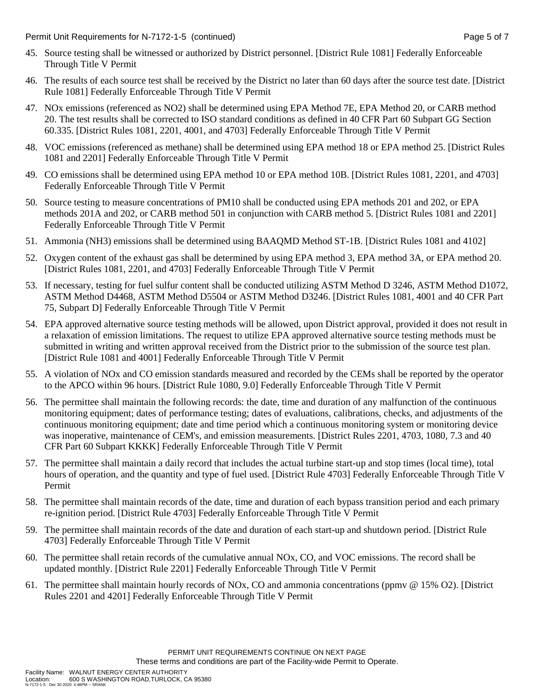Permit Unit Requirements for N-7172-1-5 (continued) Page 5 of 7

- 45. Source testing shall be witnessed or authorized by District personnel. [District Rule 1081] Federally Enforceable Through Title V Permit
- 46. The results of each source test shall be received by the District no later than 60 days after the source test date. [District Rule 1081] Federally Enforceable Through Title V Permit
- 47. NOx emissions (referenced as NO2) shall be determined using EPA Method 7E, EPA Method 20, or CARB method 20. The test results shall be corrected to ISO standard conditions as defined in 40 CFR Part 60 Subpart GG Section 60.335. [District Rules 1081, 2201, 4001, and 4703] Federally Enforceable Through Title V Permit
- 48. VOC emissions (referenced as methane) shall be determined using EPA method 18 or EPA method 25. [District Rules 1081 and 2201] Federally Enforceable Through Title V Permit
- 49. CO emissions shall be determined using EPA method 10 or EPA method 10B. [District Rules 1081, 2201, and 4703] Federally Enforceable Through Title V Permit
- 50. Source testing to measure concentrations of PM10 shall be conducted using EPA methods 201 and 202, or EPA methods 201A and 202, or CARB method 501 in conjunction with CARB method 5. [District Rules 1081 and 2201] Federally Enforceable Through Title V Permit
- 51. Ammonia (NH3) emissions shall be determined using BAAQMD Method ST-1B. [District Rules 1081 and 4102]
- 52. Oxygen content of the exhaust gas shall be determined by using EPA method 3, EPA method 3A, or EPA method 20. [District Rules 1081, 2201, and 4703] Federally Enforceable Through Title V Permit
- 53. If necessary, testing for fuel sulfur content shall be conducted utilizing ASTM Method D 3246, ASTM Method D1072, ASTM Method D4468, ASTM Method D5504 or ASTM Method D3246. [District Rules 1081, 4001 and 40 CFR Part 75, Subpart D] Federally Enforceable Through Title V Permit
- 54. EPA approved alternative source testing methods will be allowed, upon District approval, provided it does not result in a relaxation of emission limitations. The request to utilize EPA approved alternative source testing methods must be submitted in writing and written approval received from the District prior to the submission of the source test plan. [District Rule 1081 and 4001] Federally Enforceable Through Title V Permit
- 55. A violation of NOx and CO emission standards measured and recorded by the CEMs shall be reported by the operator to the APCO within 96 hours. [District Rule 1080, 9.0] Federally Enforceable Through Title V Permit
- 56. The permittee shall maintain the following records: the date, time and duration of any malfunction of the continuous monitoring equipment; dates of performance testing; dates of evaluations, calibrations, checks, and adjustments of the continuous monitoring equipment; date and time period which a continuous monitoring system or monitoring device was inoperative, maintenance of CEM's, and emission measurements. [District Rules 2201, 4703, 1080, 7.3 and 40 CFR Part 60 Subpart KKKK] Federally Enforceable Through Title V Permit
- 57. The permittee shall maintain a daily record that includes the actual turbine start-up and stop times (local time), total hours of operation, and the quantity and type of fuel used. [District Rule 4703] Federally Enforceable Through Title V Permit
- 58. The permittee shall maintain records of the date, time and duration of each bypass transition period and each primary re-ignition period. [District Rule 4703] Federally Enforceable Through Title V Permit
- 59. The permittee shall maintain records of the date and duration of each start-up and shutdown period. [District Rule 4703] Federally Enforceable Through Title V Permit
- 60. The permittee shall retain records of the cumulative annual NOx, CO, and VOC emissions. The record shall be updated monthly. [District Rule 2201] Federally Enforceable Through Title V Permit
- 61. The permittee shall maintain hourly records of NOx, CO and ammonia concentrations (ppmv @ 15% O2). [District Rules 2201 and 4201] Federally Enforceable Through Title V Permit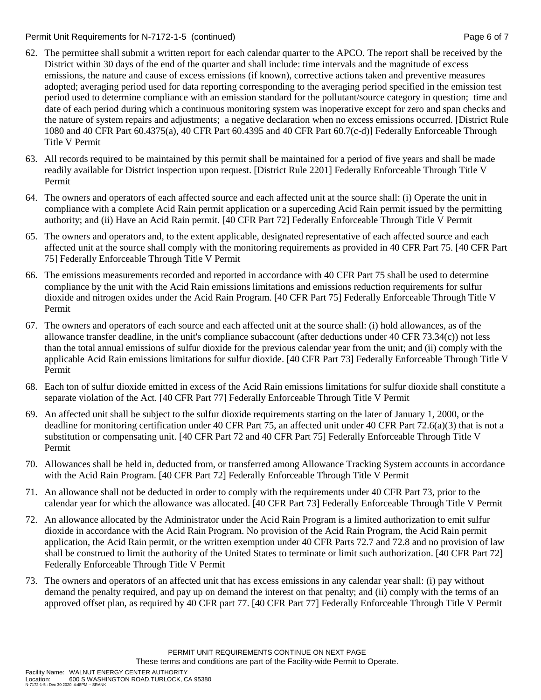#### Permit Unit Requirements for N-7172-1-5 (continued) Page 6 of 7

- 62. The permittee shall submit a written report for each calendar quarter to the APCO. The report shall be received by the District within 30 days of the end of the quarter and shall include: time intervals and the magnitude of excess emissions, the nature and cause of excess emissions (if known), corrective actions taken and preventive measures adopted; averaging period used for data reporting corresponding to the averaging period specified in the emission test period used to determine compliance with an emission standard for the pollutant/source category in question; time and date of each period during which a continuous monitoring system was inoperative except for zero and span checks and the nature of system repairs and adjustments; a negative declaration when no excess emissions occurred. [District Rule 1080 and 40 CFR Part 60.4375(a), 40 CFR Part 60.4395 and 40 CFR Part 60.7(c-d)] Federally Enforceable Through Title V Permit
- 63. All records required to be maintained by this permit shall be maintained for a period of five years and shall be made readily available for District inspection upon request. [District Rule 2201] Federally Enforceable Through Title V Permit
- 64. The owners and operators of each affected source and each affected unit at the source shall: (i) Operate the unit in compliance with a complete Acid Rain permit application or a superceding Acid Rain permit issued by the permitting authority; and (ii) Have an Acid Rain permit. [40 CFR Part 72] Federally Enforceable Through Title V Permit
- 65. The owners and operators and, to the extent applicable, designated representative of each affected source and each affected unit at the source shall comply with the monitoring requirements as provided in 40 CFR Part 75. [40 CFR Part 75] Federally Enforceable Through Title V Permit
- 66. The emissions measurements recorded and reported in accordance with 40 CFR Part 75 shall be used to determine compliance by the unit with the Acid Rain emissions limitations and emissions reduction requirements for sulfur dioxide and nitrogen oxides under the Acid Rain Program. [40 CFR Part 75] Federally Enforceable Through Title V Permit
- 67. The owners and operators of each source and each affected unit at the source shall: (i) hold allowances, as of the allowance transfer deadline, in the unit's compliance subaccount (after deductions under 40 CFR 73.34(c)) not less than the total annual emissions of sulfur dioxide for the previous calendar year from the unit; and (ii) comply with the applicable Acid Rain emissions limitations for sulfur dioxide. [40 CFR Part 73] Federally Enforceable Through Title V Permit
- 68. Each ton of sulfur dioxide emitted in excess of the Acid Rain emissions limitations for sulfur dioxide shall constitute a separate violation of the Act. [40 CFR Part 77] Federally Enforceable Through Title V Permit
- 69. An affected unit shall be subject to the sulfur dioxide requirements starting on the later of January 1, 2000, or the deadline for monitoring certification under 40 CFR Part 75, an affected unit under 40 CFR Part 72.6(a)(3) that is not a substitution or compensating unit. [40 CFR Part 72 and 40 CFR Part 75] Federally Enforceable Through Title V Permit
- 70. Allowances shall be held in, deducted from, or transferred among Allowance Tracking System accounts in accordance with the Acid Rain Program. [40 CFR Part 72] Federally Enforceable Through Title V Permit
- 71. An allowance shall not be deducted in order to comply with the requirements under 40 CFR Part 73, prior to the calendar year for which the allowance was allocated. [40 CFR Part 73] Federally Enforceable Through Title V Permit
- 72. An allowance allocated by the Administrator under the Acid Rain Program is a limited authorization to emit sulfur dioxide in accordance with the Acid Rain Program. No provision of the Acid Rain Program, the Acid Rain permit application, the Acid Rain permit, or the written exemption under 40 CFR Parts 72.7 and 72.8 and no provision of law shall be construed to limit the authority of the United States to terminate or limit such authorization. [40 CFR Part 72] Federally Enforceable Through Title V Permit
- 73. The owners and operators of an affected unit that has excess emissions in any calendar year shall: (i) pay without demand the penalty required, and pay up on demand the interest on that penalty; and (ii) comply with the terms of an approved offset plan, as required by 40 CFR part 77. [40 CFR Part 77] Federally Enforceable Through Title V Permit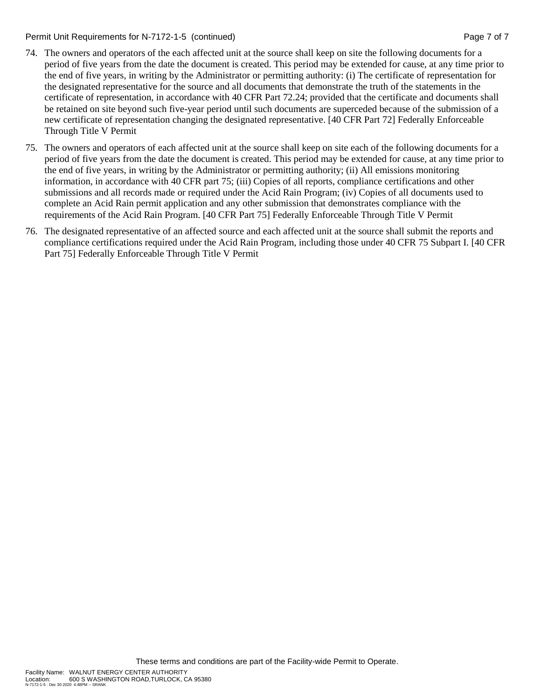Permit Unit Requirements for N-7172-1-5 (continued) Page 7 of 7

- 74. The owners and operators of the each affected unit at the source shall keep on site the following documents for a period of five years from the date the document is created. This period may be extended for cause, at any time prior to the end of five years, in writing by the Administrator or permitting authority: (i) The certificate of representation for the designated representative for the source and all documents that demonstrate the truth of the statements in the certificate of representation, in accordance with 40 CFR Part 72.24; provided that the certificate and documents shall be retained on site beyond such five-year period until such documents are superceded because of the submission of a new certificate of representation changing the designated representative. [40 CFR Part 72] Federally Enforceable Through Title V Permit
- 75. The owners and operators of each affected unit at the source shall keep on site each of the following documents for a period of five years from the date the document is created. This period may be extended for cause, at any time prior to the end of five years, in writing by the Administrator or permitting authority; (ii) All emissions monitoring information, in accordance with 40 CFR part 75; (iii) Copies of all reports, compliance certifications and other submissions and all records made or required under the Acid Rain Program; (iv) Copies of all documents used to complete an Acid Rain permit application and any other submission that demonstrates compliance with the requirements of the Acid Rain Program. [40 CFR Part 75] Federally Enforceable Through Title V Permit
- 76. The designated representative of an affected source and each affected unit at the source shall submit the reports and compliance certifications required under the Acid Rain Program, including those under 40 CFR 75 Subpart I. [40 CFR Part 75] Federally Enforceable Through Title V Permit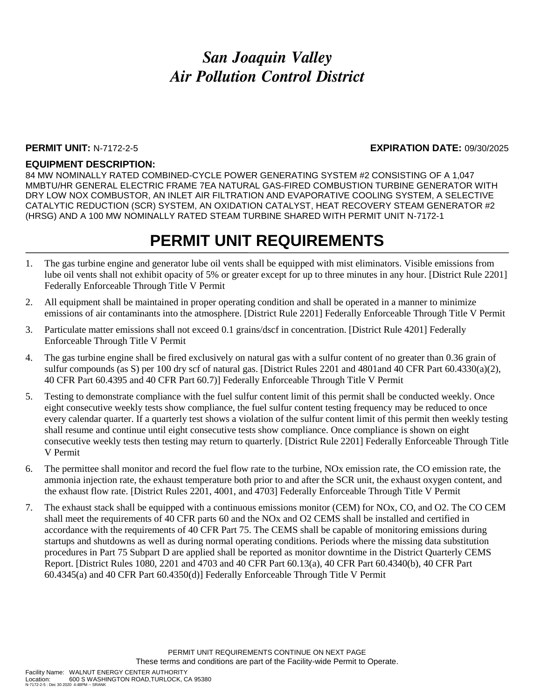#### **PERMIT UNIT:** N-7172-2-5 **EXPIRATION DATE:** 09/30/2025

#### **EQUIPMENT DESCRIPTION:**

84 MW NOMINALLY RATED COMBINED-CYCLE POWER GENERATING SYSTEM #2 CONSISTING OF A 1,047 MMBTU/HR GENERAL ELECTRIC FRAME 7EA NATURAL GAS-FIRED COMBUSTION TURBINE GENERATOR WITH DRY LOW NOX COMBUSTOR, AN INLET AIR FILTRATION AND EVAPORATIVE COOLING SYSTEM, A SELECTIVE CATALYTIC REDUCTION (SCR) SYSTEM, AN OXIDATION CATALYST, HEAT RECOVERY STEAM GENERATOR #2 (HRSG) AND A 100 MW NOMINALLY RATED STEAM TURBINE SHARED WITH PERMIT UNIT N-7172-1

### **PERMIT UNIT REQUIREMENTS**

- 1. The gas turbine engine and generator lube oil vents shall be equipped with mist eliminators. Visible emissions from lube oil vents shall not exhibit opacity of 5% or greater except for up to three minutes in any hour. [District Rule 2201] Federally Enforceable Through Title V Permit
- 2. All equipment shall be maintained in proper operating condition and shall be operated in a manner to minimize emissions of air contaminants into the atmosphere. [District Rule 2201] Federally Enforceable Through Title V Permit
- 3. Particulate matter emissions shall not exceed 0.1 grains/dscf in concentration. [District Rule 4201] Federally Enforceable Through Title V Permit
- 4. The gas turbine engine shall be fired exclusively on natural gas with a sulfur content of no greater than 0.36 grain of sulfur compounds (as S) per 100 dry scf of natural gas. [District Rules 2201 and 4801and 40 CFR Part 60.4330(a)(2), 40 CFR Part 60.4395 and 40 CFR Part 60.7)] Federally Enforceable Through Title V Permit
- 5. Testing to demonstrate compliance with the fuel sulfur content limit of this permit shall be conducted weekly. Once eight consecutive weekly tests show compliance, the fuel sulfur content testing frequency may be reduced to once every calendar quarter. If a quarterly test shows a violation of the sulfur content limit of this permit then weekly testing shall resume and continue until eight consecutive tests show compliance. Once compliance is shown on eight consecutive weekly tests then testing may return to quarterly. [District Rule 2201] Federally Enforceable Through Title V Permit
- 6. The permittee shall monitor and record the fuel flow rate to the turbine, NOx emission rate, the CO emission rate, the ammonia injection rate, the exhaust temperature both prior to and after the SCR unit, the exhaust oxygen content, and the exhaust flow rate. [District Rules 2201, 4001, and 4703] Federally Enforceable Through Title V Permit
- 7. The exhaust stack shall be equipped with a continuous emissions monitor (CEM) for NOx, CO, and O2. The CO CEM shall meet the requirements of 40 CFR parts 60 and the NOx and O2 CEMS shall be installed and certified in accordance with the requirements of 40 CFR Part 75. The CEMS shall be capable of monitoring emissions during startups and shutdowns as well as during normal operating conditions. Periods where the missing data substitution procedures in Part 75 Subpart D are applied shall be reported as monitor downtime in the District Quarterly CEMS Report. [District Rules 1080, 2201 and 4703 and 40 CFR Part 60.13(a), 40 CFR Part 60.4340(b), 40 CFR Part 60.4345(a) and 40 CFR Part 60.4350(d)] Federally Enforceable Through Title V Permit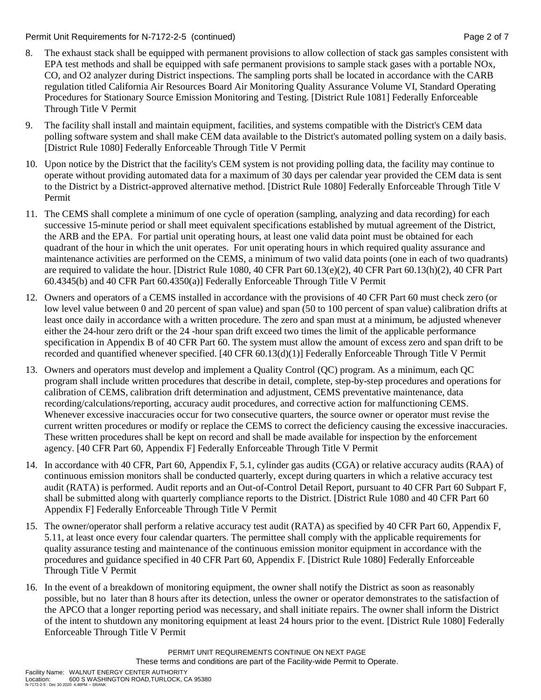#### Permit Unit Requirements for N-7172-2-5 (continued) Page 2 of 7

- 8. The exhaust stack shall be equipped with permanent provisions to allow collection of stack gas samples consistent with EPA test methods and shall be equipped with safe permanent provisions to sample stack gases with a portable NOx, CO, and O2 analyzer during District inspections. The sampling ports shall be located in accordance with the CARB regulation titled California Air Resources Board Air Monitoring Quality Assurance Volume VI, Standard Operating Procedures for Stationary Source Emission Monitoring and Testing. [District Rule 1081] Federally Enforceable Through Title V Permit
- 9. The facility shall install and maintain equipment, facilities, and systems compatible with the District's CEM data polling software system and shall make CEM data available to the District's automated polling system on a daily basis. [District Rule 1080] Federally Enforceable Through Title V Permit
- 10. Upon notice by the District that the facility's CEM system is not providing polling data, the facility may continue to operate without providing automated data for a maximum of 30 days per calendar year provided the CEM data is sent to the District by a District-approved alternative method. [District Rule 1080] Federally Enforceable Through Title V Permit
- 11. The CEMS shall complete a minimum of one cycle of operation (sampling, analyzing and data recording) for each successive 15-minute period or shall meet equivalent specifications established by mutual agreement of the District, the ARB and the EPA. For partial unit operating hours, at least one valid data point must be obtained for each quadrant of the hour in which the unit operates. For unit operating hours in which required quality assurance and maintenance activities are performed on the CEMS, a minimum of two valid data points (one in each of two quadrants) are required to validate the hour. [District Rule 1080, 40 CFR Part 60.13(e)(2), 40 CFR Part 60.13(h)(2), 40 CFR Part 60.4345(b) and 40 CFR Part 60.4350(a)] Federally Enforceable Through Title V Permit
- 12. Owners and operators of a CEMS installed in accordance with the provisions of 40 CFR Part 60 must check zero (or low level value between 0 and 20 percent of span value) and span (50 to 100 percent of span value) calibration drifts at least once daily in accordance with a written procedure. The zero and span must at a minimum, be adjusted whenever either the 24-hour zero drift or the 24 -hour span drift exceed two times the limit of the applicable performance specification in Appendix B of 40 CFR Part 60. The system must allow the amount of excess zero and span drift to be recorded and quantified whenever specified. [40 CFR 60.13(d)(1)] Federally Enforceable Through Title V Permit
- 13. Owners and operators must develop and implement a Quality Control (QC) program. As a minimum, each QC program shall include written procedures that describe in detail, complete, step-by-step procedures and operations for calibration of CEMS, calibration drift determination and adjustment, CEMS preventative maintenance, data recording/calculations/reporting, accuracy audit procedures, and corrective action for malfunctioning CEMS. Whenever excessive inaccuracies occur for two consecutive quarters, the source owner or operator must revise the current written procedures or modify or replace the CEMS to correct the deficiency causing the excessive inaccuracies. These written procedures shall be kept on record and shall be made available for inspection by the enforcement agency. [40 CFR Part 60, Appendix F] Federally Enforceable Through Title V Permit
- 14. In accordance with 40 CFR, Part 60, Appendix F, 5.1, cylinder gas audits (CGA) or relative accuracy audits (RAA) of continuous emission monitors shall be conducted quarterly, except during quarters in which a relative accuracy test audit (RATA) is performed. Audit reports and an Out-of-Control Detail Report, pursuant to 40 CFR Part 60 Subpart F, shall be submitted along with quarterly compliance reports to the District. [District Rule 1080 and 40 CFR Part 60 Appendix F] Federally Enforceable Through Title V Permit
- 15. The owner/operator shall perform a relative accuracy test audit (RATA) as specified by 40 CFR Part 60, Appendix F, 5.11, at least once every four calendar quarters. The permittee shall comply with the applicable requirements for quality assurance testing and maintenance of the continuous emission monitor equipment in accordance with the procedures and guidance specified in 40 CFR Part 60, Appendix F. [District Rule 1080] Federally Enforceable Through Title V Permit
- 16. In the event of a breakdown of monitoring equipment, the owner shall notify the District as soon as reasonably possible, but no later than 8 hours after its detection, unless the owner or operator demonstrates to the satisfaction of the APCO that a longer reporting period was necessary, and shall initiate repairs. The owner shall inform the District of the intent to shutdown any monitoring equipment at least 24 hours prior to the event. [District Rule 1080] Federally Enforceable Through Title V Permit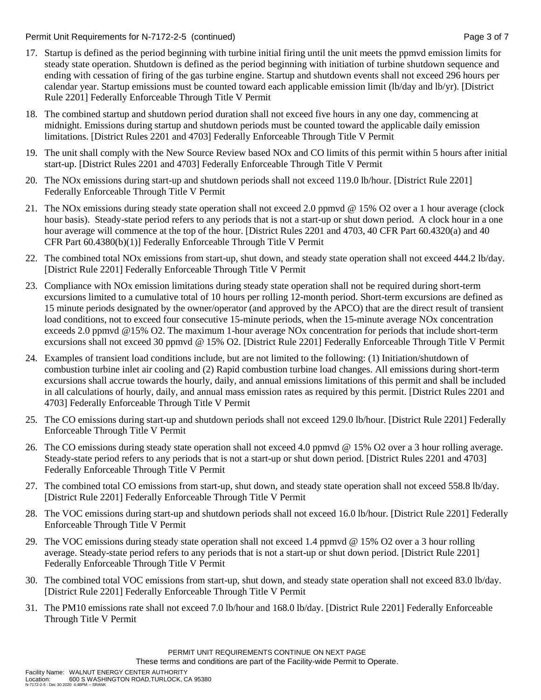Permit Unit Requirements for N-7172-2-5 (continued) Page 3 of 7

- 17. Startup is defined as the period beginning with turbine initial firing until the unit meets the ppmvd emission limits for steady state operation. Shutdown is defined as the period beginning with initiation of turbine shutdown sequence and ending with cessation of firing of the gas turbine engine. Startup and shutdown events shall not exceed 296 hours per calendar year. Startup emissions must be counted toward each applicable emission limit (lb/day and lb/yr). [District Rule 2201] Federally Enforceable Through Title V Permit
- 18. The combined startup and shutdown period duration shall not exceed five hours in any one day, commencing at midnight. Emissions during startup and shutdown periods must be counted toward the applicable daily emission limitations. [District Rules 2201 and 4703] Federally Enforceable Through Title V Permit
- 19. The unit shall comply with the New Source Review based NOx and CO limits of this permit within 5 hours after initial start-up. [District Rules 2201 and 4703] Federally Enforceable Through Title V Permit
- 20. The NOx emissions during start-up and shutdown periods shall not exceed 119.0 lb/hour. [District Rule 2201] Federally Enforceable Through Title V Permit
- 21. The NOx emissions during steady state operation shall not exceed 2.0 ppmvd @ 15% O2 over a 1 hour average (clock hour basis). Steady-state period refers to any periods that is not a start-up or shut down period. A clock hour in a one hour average will commence at the top of the hour. [District Rules 2201 and 4703, 40 CFR Part 60.4320(a) and 40 CFR Part 60.4380(b)(1)] Federally Enforceable Through Title V Permit
- 22. The combined total NOx emissions from start-up, shut down, and steady state operation shall not exceed 444.2 lb/day. [District Rule 2201] Federally Enforceable Through Title V Permit
- 23. Compliance with NOx emission limitations during steady state operation shall not be required during short-term excursions limited to a cumulative total of 10 hours per rolling 12-month period. Short-term excursions are defined as 15 minute periods designated by the owner/operator (and approved by the APCO) that are the direct result of transient load conditions, not to exceed four consecutive 15-minute periods, when the 15-minute average NOx concentration exceeds 2.0 ppmvd @15% O2. The maximum 1-hour average NOx concentration for periods that include short-term excursions shall not exceed 30 ppmvd @ 15% O2. [District Rule 2201] Federally Enforceable Through Title V Permit
- 24. Examples of transient load conditions include, but are not limited to the following: (1) Initiation/shutdown of combustion turbine inlet air cooling and (2) Rapid combustion turbine load changes. All emissions during short-term excursions shall accrue towards the hourly, daily, and annual emissions limitations of this permit and shall be included in all calculations of hourly, daily, and annual mass emission rates as required by this permit. [District Rules 2201 and 4703] Federally Enforceable Through Title V Permit
- 25. The CO emissions during start-up and shutdown periods shall not exceed 129.0 lb/hour. [District Rule 2201] Federally Enforceable Through Title V Permit
- 26. The CO emissions during steady state operation shall not exceed 4.0 ppmvd @ 15% O2 over a 3 hour rolling average. Steady-state period refers to any periods that is not a start-up or shut down period. [District Rules 2201 and 4703] Federally Enforceable Through Title V Permit
- 27. The combined total CO emissions from start-up, shut down, and steady state operation shall not exceed 558.8 lb/day. [District Rule 2201] Federally Enforceable Through Title V Permit
- 28. The VOC emissions during start-up and shutdown periods shall not exceed 16.0 lb/hour. [District Rule 2201] Federally Enforceable Through Title V Permit
- 29. The VOC emissions during steady state operation shall not exceed 1.4 ppmvd @ 15% O2 over a 3 hour rolling average. Steady-state period refers to any periods that is not a start-up or shut down period. [District Rule 2201] Federally Enforceable Through Title V Permit
- 30. The combined total VOC emissions from start-up, shut down, and steady state operation shall not exceed 83.0 lb/day. [District Rule 2201] Federally Enforceable Through Title V Permit
- 31. The PM10 emissions rate shall not exceed 7.0 lb/hour and 168.0 lb/day. [District Rule 2201] Federally Enforceable Through Title V Permit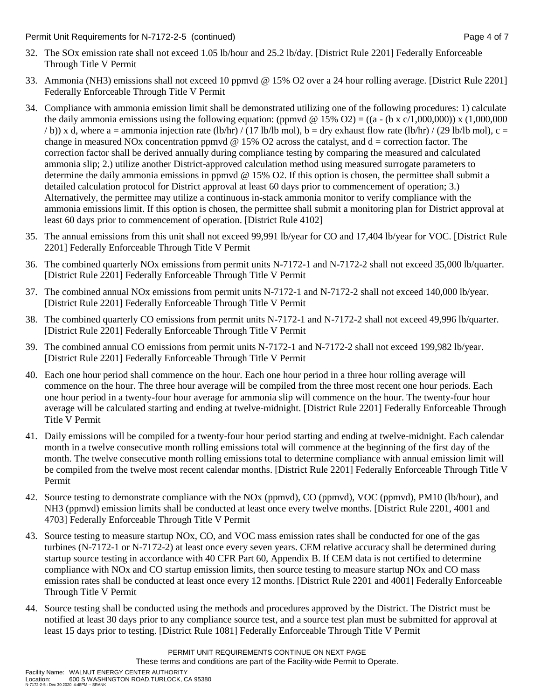- 32. The SOx emission rate shall not exceed 1.05 lb/hour and 25.2 lb/day. [District Rule 2201] Federally Enforceable Through Title V Permit
- 33. Ammonia (NH3) emissions shall not exceed 10 ppmvd @ 15% O2 over a 24 hour rolling average. [District Rule 2201] Federally Enforceable Through Title V Permit
- 34. Compliance with ammonia emission limit shall be demonstrated utilizing one of the following procedures: 1) calculate the daily ammonia emissions using the following equation: (ppmvd @ 15% O2) = ((a - (b x c/1,000,000)) x (1,000,000)  $(16)$ ) x d, where a = ammonia injection rate (lb/hr)  $(17 1b/1b \text{ mol})$ , b = dry exhaust flow rate (lb/hr)  $(29 1b/1b \text{ mol})$ , c = change in measured NOx concentration ppmvd  $\omega$  15% O2 across the catalyst, and d = correction factor. The correction factor shall be derived annually during compliance testing by comparing the measured and calculated ammonia slip; 2.) utilize another District-approved calculation method using measured surrogate parameters to determine the daily ammonia emissions in ppmvd @ 15% O2. If this option is chosen, the permittee shall submit a detailed calculation protocol for District approval at least 60 days prior to commencement of operation; 3.) Alternatively, the permittee may utilize a continuous in-stack ammonia monitor to verify compliance with the ammonia emissions limit. If this option is chosen, the permittee shall submit a monitoring plan for District approval at least 60 days prior to commencement of operation. [District Rule 4102]
- 35. The annual emissions from this unit shall not exceed 99,991 lb/year for CO and 17,404 lb/year for VOC. [District Rule 2201] Federally Enforceable Through Title V Permit
- 36. The combined quarterly NOx emissions from permit units N-7172-1 and N-7172-2 shall not exceed 35,000 lb/quarter. [District Rule 2201] Federally Enforceable Through Title V Permit
- 37. The combined annual NOx emissions from permit units N-7172-1 and N-7172-2 shall not exceed 140,000 lb/year. [District Rule 2201] Federally Enforceable Through Title V Permit
- 38. The combined quarterly CO emissions from permit units N-7172-1 and N-7172-2 shall not exceed 49,996 lb/quarter. [District Rule 2201] Federally Enforceable Through Title V Permit
- 39. The combined annual CO emissions from permit units N-7172-1 and N-7172-2 shall not exceed 199,982 lb/year. [District Rule 2201] Federally Enforceable Through Title V Permit
- 40. Each one hour period shall commence on the hour. Each one hour period in a three hour rolling average will commence on the hour. The three hour average will be compiled from the three most recent one hour periods. Each one hour period in a twenty-four hour average for ammonia slip will commence on the hour. The twenty-four hour average will be calculated starting and ending at twelve-midnight. [District Rule 2201] Federally Enforceable Through Title V Permit
- 41. Daily emissions will be compiled for a twenty-four hour period starting and ending at twelve-midnight. Each calendar month in a twelve consecutive month rolling emissions total will commence at the beginning of the first day of the month. The twelve consecutive month rolling emissions total to determine compliance with annual emission limit will be compiled from the twelve most recent calendar months. [District Rule 2201] Federally Enforceable Through Title V Permit
- 42. Source testing to demonstrate compliance with the NOx (ppmvd), CO (ppmvd), VOC (ppmvd), PM10 (lb/hour), and NH3 (ppmvd) emission limits shall be conducted at least once every twelve months. [District Rule 2201, 4001 and 4703] Federally Enforceable Through Title V Permit
- 43. Source testing to measure startup NOx, CO, and VOC mass emission rates shall be conducted for one of the gas turbines (N-7172-1 or N-7172-2) at least once every seven years. CEM relative accuracy shall be determined during startup source testing in accordance with 40 CFR Part 60, Appendix B. If CEM data is not certified to determine compliance with NOx and CO startup emission limits, then source testing to measure startup NOx and CO mass emission rates shall be conducted at least once every 12 months. [District Rule 2201 and 4001] Federally Enforceable Through Title V Permit
- 44. Source testing shall be conducted using the methods and procedures approved by the District. The District must be notified at least 30 days prior to any compliance source test, and a source test plan must be submitted for approval at least 15 days prior to testing. [District Rule 1081] Federally Enforceable Through Title V Permit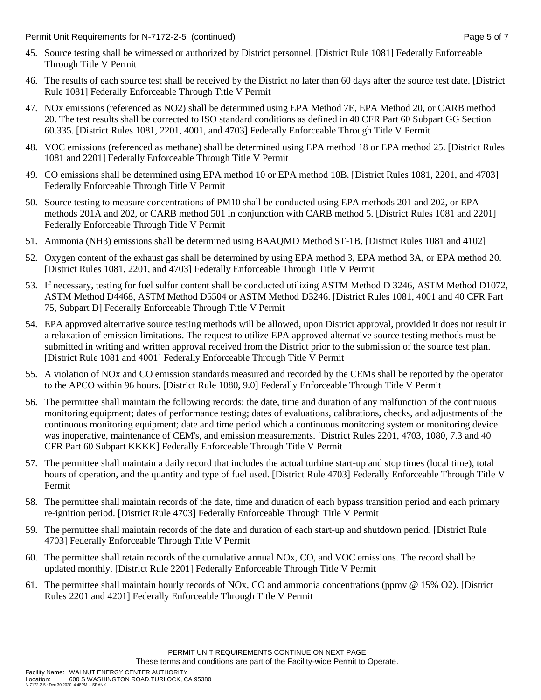Permit Unit Requirements for N-7172-2-5 (continued) Page 5 of 7

- 45. Source testing shall be witnessed or authorized by District personnel. [District Rule 1081] Federally Enforceable Through Title V Permit
- 46. The results of each source test shall be received by the District no later than 60 days after the source test date. [District Rule 1081] Federally Enforceable Through Title V Permit
- 47. NOx emissions (referenced as NO2) shall be determined using EPA Method 7E, EPA Method 20, or CARB method 20. The test results shall be corrected to ISO standard conditions as defined in 40 CFR Part 60 Subpart GG Section 60.335. [District Rules 1081, 2201, 4001, and 4703] Federally Enforceable Through Title V Permit
- 48. VOC emissions (referenced as methane) shall be determined using EPA method 18 or EPA method 25. [District Rules 1081 and 2201] Federally Enforceable Through Title V Permit
- 49. CO emissions shall be determined using EPA method 10 or EPA method 10B. [District Rules 1081, 2201, and 4703] Federally Enforceable Through Title V Permit
- 50. Source testing to measure concentrations of PM10 shall be conducted using EPA methods 201 and 202, or EPA methods 201A and 202, or CARB method 501 in conjunction with CARB method 5. [District Rules 1081 and 2201] Federally Enforceable Through Title V Permit
- 51. Ammonia (NH3) emissions shall be determined using BAAQMD Method ST-1B. [District Rules 1081 and 4102]
- 52. Oxygen content of the exhaust gas shall be determined by using EPA method 3, EPA method 3A, or EPA method 20. [District Rules 1081, 2201, and 4703] Federally Enforceable Through Title V Permit
- 53. If necessary, testing for fuel sulfur content shall be conducted utilizing ASTM Method D 3246, ASTM Method D1072, ASTM Method D4468, ASTM Method D5504 or ASTM Method D3246. [District Rules 1081, 4001 and 40 CFR Part 75, Subpart D] Federally Enforceable Through Title V Permit
- 54. EPA approved alternative source testing methods will be allowed, upon District approval, provided it does not result in a relaxation of emission limitations. The request to utilize EPA approved alternative source testing methods must be submitted in writing and written approval received from the District prior to the submission of the source test plan. [District Rule 1081 and 4001] Federally Enforceable Through Title V Permit
- 55. A violation of NOx and CO emission standards measured and recorded by the CEMs shall be reported by the operator to the APCO within 96 hours. [District Rule 1080, 9.0] Federally Enforceable Through Title V Permit
- 56. The permittee shall maintain the following records: the date, time and duration of any malfunction of the continuous monitoring equipment; dates of performance testing; dates of evaluations, calibrations, checks, and adjustments of the continuous monitoring equipment; date and time period which a continuous monitoring system or monitoring device was inoperative, maintenance of CEM's, and emission measurements. [District Rules 2201, 4703, 1080, 7.3 and 40 CFR Part 60 Subpart KKKK] Federally Enforceable Through Title V Permit
- 57. The permittee shall maintain a daily record that includes the actual turbine start-up and stop times (local time), total hours of operation, and the quantity and type of fuel used. [District Rule 4703] Federally Enforceable Through Title V Permit
- 58. The permittee shall maintain records of the date, time and duration of each bypass transition period and each primary re-ignition period. [District Rule 4703] Federally Enforceable Through Title V Permit
- 59. The permittee shall maintain records of the date and duration of each start-up and shutdown period. [District Rule 4703] Federally Enforceable Through Title V Permit
- 60. The permittee shall retain records of the cumulative annual NOx, CO, and VOC emissions. The record shall be updated monthly. [District Rule 2201] Federally Enforceable Through Title V Permit
- 61. The permittee shall maintain hourly records of NOx, CO and ammonia concentrations (ppmv @ 15% O2). [District Rules 2201 and 4201] Federally Enforceable Through Title V Permit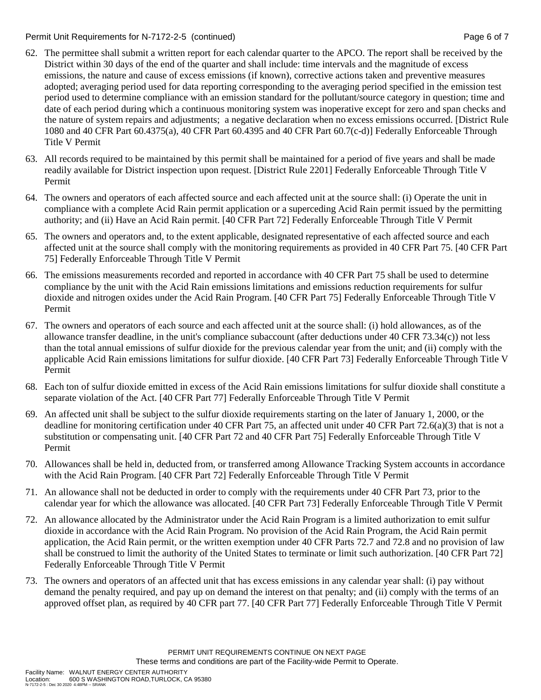#### Permit Unit Requirements for N-7172-2-5 (continued) Page 6 of 7

- 62. The permittee shall submit a written report for each calendar quarter to the APCO. The report shall be received by the District within 30 days of the end of the quarter and shall include: time intervals and the magnitude of excess emissions, the nature and cause of excess emissions (if known), corrective actions taken and preventive measures adopted; averaging period used for data reporting corresponding to the averaging period specified in the emission test period used to determine compliance with an emission standard for the pollutant/source category in question; time and date of each period during which a continuous monitoring system was inoperative except for zero and span checks and the nature of system repairs and adjustments; a negative declaration when no excess emissions occurred. [District Rule 1080 and 40 CFR Part 60.4375(a), 40 CFR Part 60.4395 and 40 CFR Part 60.7(c-d)] Federally Enforceable Through Title V Permit
- 63. All records required to be maintained by this permit shall be maintained for a period of five years and shall be made readily available for District inspection upon request. [District Rule 2201] Federally Enforceable Through Title V Permit
- 64. The owners and operators of each affected source and each affected unit at the source shall: (i) Operate the unit in compliance with a complete Acid Rain permit application or a superceding Acid Rain permit issued by the permitting authority; and (ii) Have an Acid Rain permit. [40 CFR Part 72] Federally Enforceable Through Title V Permit
- 65. The owners and operators and, to the extent applicable, designated representative of each affected source and each affected unit at the source shall comply with the monitoring requirements as provided in 40 CFR Part 75. [40 CFR Part 75] Federally Enforceable Through Title V Permit
- 66. The emissions measurements recorded and reported in accordance with 40 CFR Part 75 shall be used to determine compliance by the unit with the Acid Rain emissions limitations and emissions reduction requirements for sulfur dioxide and nitrogen oxides under the Acid Rain Program. [40 CFR Part 75] Federally Enforceable Through Title V Permit
- 67. The owners and operators of each source and each affected unit at the source shall: (i) hold allowances, as of the allowance transfer deadline, in the unit's compliance subaccount (after deductions under 40 CFR 73.34(c)) not less than the total annual emissions of sulfur dioxide for the previous calendar year from the unit; and (ii) comply with the applicable Acid Rain emissions limitations for sulfur dioxide. [40 CFR Part 73] Federally Enforceable Through Title V Permit
- 68. Each ton of sulfur dioxide emitted in excess of the Acid Rain emissions limitations for sulfur dioxide shall constitute a separate violation of the Act. [40 CFR Part 77] Federally Enforceable Through Title V Permit
- 69. An affected unit shall be subject to the sulfur dioxide requirements starting on the later of January 1, 2000, or the deadline for monitoring certification under 40 CFR Part 75, an affected unit under 40 CFR Part 72.6(a)(3) that is not a substitution or compensating unit. [40 CFR Part 72 and 40 CFR Part 75] Federally Enforceable Through Title V Permit
- 70. Allowances shall be held in, deducted from, or transferred among Allowance Tracking System accounts in accordance with the Acid Rain Program. [40 CFR Part 72] Federally Enforceable Through Title V Permit
- 71. An allowance shall not be deducted in order to comply with the requirements under 40 CFR Part 73, prior to the calendar year for which the allowance was allocated. [40 CFR Part 73] Federally Enforceable Through Title V Permit
- 72. An allowance allocated by the Administrator under the Acid Rain Program is a limited authorization to emit sulfur dioxide in accordance with the Acid Rain Program. No provision of the Acid Rain Program, the Acid Rain permit application, the Acid Rain permit, or the written exemption under 40 CFR Parts 72.7 and 72.8 and no provision of law shall be construed to limit the authority of the United States to terminate or limit such authorization. [40 CFR Part 72] Federally Enforceable Through Title V Permit
- 73. The owners and operators of an affected unit that has excess emissions in any calendar year shall: (i) pay without demand the penalty required, and pay up on demand the interest on that penalty; and (ii) comply with the terms of an approved offset plan, as required by 40 CFR part 77. [40 CFR Part 77] Federally Enforceable Through Title V Permit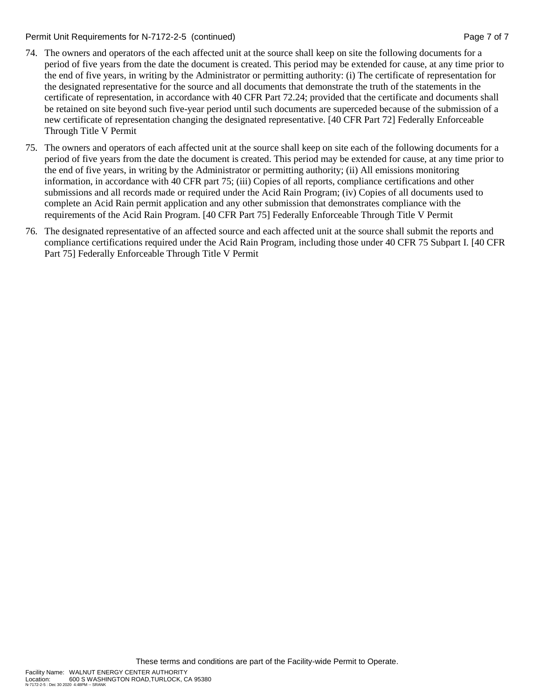Permit Unit Requirements for N-7172-2-5 (continued) Page 7 of 7

- 74. The owners and operators of the each affected unit at the source shall keep on site the following documents for a period of five years from the date the document is created. This period may be extended for cause, at any time prior to the end of five years, in writing by the Administrator or permitting authority: (i) The certificate of representation for the designated representative for the source and all documents that demonstrate the truth of the statements in the certificate of representation, in accordance with 40 CFR Part 72.24; provided that the certificate and documents shall be retained on site beyond such five-year period until such documents are superceded because of the submission of a new certificate of representation changing the designated representative. [40 CFR Part 72] Federally Enforceable Through Title V Permit
- 75. The owners and operators of each affected unit at the source shall keep on site each of the following documents for a period of five years from the date the document is created. This period may be extended for cause, at any time prior to the end of five years, in writing by the Administrator or permitting authority; (ii) All emissions monitoring information, in accordance with 40 CFR part 75; (iii) Copies of all reports, compliance certifications and other submissions and all records made or required under the Acid Rain Program; (iv) Copies of all documents used to complete an Acid Rain permit application and any other submission that demonstrates compliance with the requirements of the Acid Rain Program. [40 CFR Part 75] Federally Enforceable Through Title V Permit
- 76. The designated representative of an affected source and each affected unit at the source shall submit the reports and compliance certifications required under the Acid Rain Program, including those under 40 CFR 75 Subpart I. [40 CFR Part 75] Federally Enforceable Through Title V Permit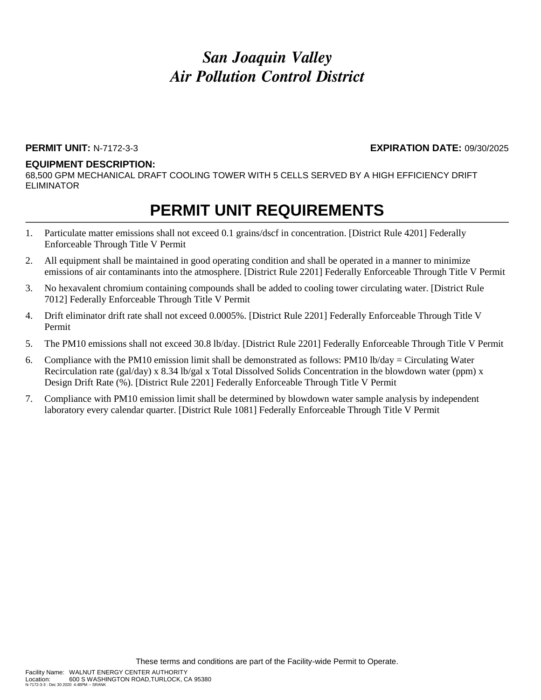#### **PERMIT UNIT:** N-7172-3-3 **EXPIRATION DATE:** 09/30/2025

#### **EQUIPMENT DESCRIPTION:**

68,500 GPM MECHANICAL DRAFT COOLING TOWER WITH 5 CELLS SERVED BY A HIGH EFFICIENCY DRIFT ELIMINATOR

### **PERMIT UNIT REQUIREMENTS**

- 1. Particulate matter emissions shall not exceed 0.1 grains/dscf in concentration. [District Rule 4201] Federally Enforceable Through Title V Permit
- 2. All equipment shall be maintained in good operating condition and shall be operated in a manner to minimize emissions of air contaminants into the atmosphere. [District Rule 2201] Federally Enforceable Through Title V Permit
- 3. No hexavalent chromium containing compounds shall be added to cooling tower circulating water. [District Rule 7012] Federally Enforceable Through Title V Permit
- 4. Drift eliminator drift rate shall not exceed 0.0005%. [District Rule 2201] Federally Enforceable Through Title V Permit
- 5. The PM10 emissions shall not exceed 30.8 lb/day. [District Rule 2201] Federally Enforceable Through Title V Permit
- 6. Compliance with the PM10 emission limit shall be demonstrated as follows: PM10 lb/day = Circulating Water Recirculation rate (gal/day) x 8.34 lb/gal x Total Dissolved Solids Concentration in the blowdown water (ppm) x Design Drift Rate (%). [District Rule 2201] Federally Enforceable Through Title V Permit
- 7. Compliance with PM10 emission limit shall be determined by blowdown water sample analysis by independent laboratory every calendar quarter. [District Rule 1081] Federally Enforceable Through Title V Permit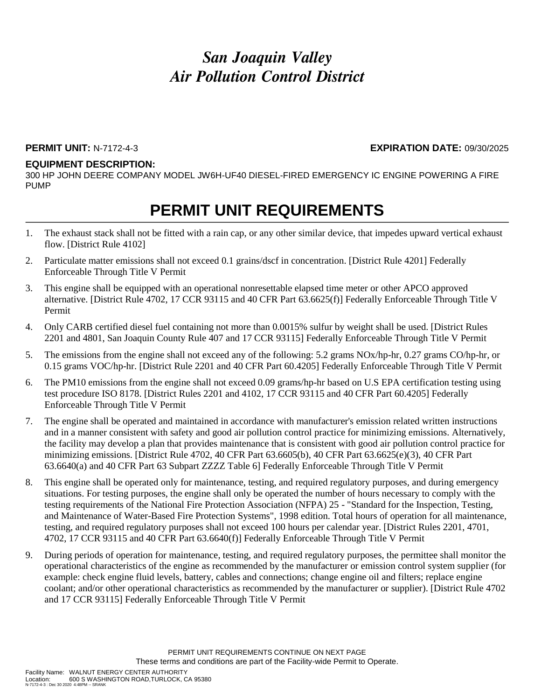#### **PERMIT UNIT:** N-7172-4-3 **EXPIRATION DATE:** 09/30/2025

#### **EQUIPMENT DESCRIPTION:**

300 HP JOHN DEERE COMPANY MODEL JW6H-UF40 DIESEL-FIRED EMERGENCY IC ENGINE POWERING A FIRE PUMP

### **PERMIT UNIT REQUIREMENTS**

- 1. The exhaust stack shall not be fitted with a rain cap, or any other similar device, that impedes upward vertical exhaust flow. [District Rule 4102]
- 2. Particulate matter emissions shall not exceed 0.1 grains/dscf in concentration. [District Rule 4201] Federally Enforceable Through Title V Permit
- 3. This engine shall be equipped with an operational nonresettable elapsed time meter or other APCO approved alternative. [District Rule 4702, 17 CCR 93115 and 40 CFR Part 63.6625(f)] Federally Enforceable Through Title V Permit
- 4. Only CARB certified diesel fuel containing not more than 0.0015% sulfur by weight shall be used. [District Rules 2201 and 4801, San Joaquin County Rule 407 and 17 CCR 93115] Federally Enforceable Through Title V Permit
- 5. The emissions from the engine shall not exceed any of the following: 5.2 grams NOx/hp-hr, 0.27 grams CO/hp-hr, or 0.15 grams VOC/hp-hr. [District Rule 2201 and 40 CFR Part 60.4205] Federally Enforceable Through Title V Permit
- 6. The PM10 emissions from the engine shall not exceed 0.09 grams/hp-hr based on U.S EPA certification testing using test procedure ISO 8178. [District Rules 2201 and 4102, 17 CCR 93115 and 40 CFR Part 60.4205] Federally Enforceable Through Title V Permit
- 7. The engine shall be operated and maintained in accordance with manufacturer's emission related written instructions and in a manner consistent with safety and good air pollution control practice for minimizing emissions. Alternatively, the facility may develop a plan that provides maintenance that is consistent with good air pollution control practice for minimizing emissions. [District Rule 4702, 40 CFR Part 63.6605(b), 40 CFR Part 63.6625(e)(3), 40 CFR Part 63.6640(a) and 40 CFR Part 63 Subpart ZZZZ Table 6] Federally Enforceable Through Title V Permit
- 8. This engine shall be operated only for maintenance, testing, and required regulatory purposes, and during emergency situations. For testing purposes, the engine shall only be operated the number of hours necessary to comply with the testing requirements of the National Fire Protection Association (NFPA) 25 - "Standard for the Inspection, Testing, and Maintenance of Water-Based Fire Protection Systems", 1998 edition. Total hours of operation for all maintenance, testing, and required regulatory purposes shall not exceed 100 hours per calendar year. [District Rules 2201, 4701, 4702, 17 CCR 93115 and 40 CFR Part 63.6640(f)] Federally Enforceable Through Title V Permit
- 9. During periods of operation for maintenance, testing, and required regulatory purposes, the permittee shall monitor the operational characteristics of the engine as recommended by the manufacturer or emission control system supplier (for example: check engine fluid levels, battery, cables and connections; change engine oil and filters; replace engine coolant; and/or other operational characteristics as recommended by the manufacturer or supplier). [District Rule 4702 and 17 CCR 93115] Federally Enforceable Through Title V Permit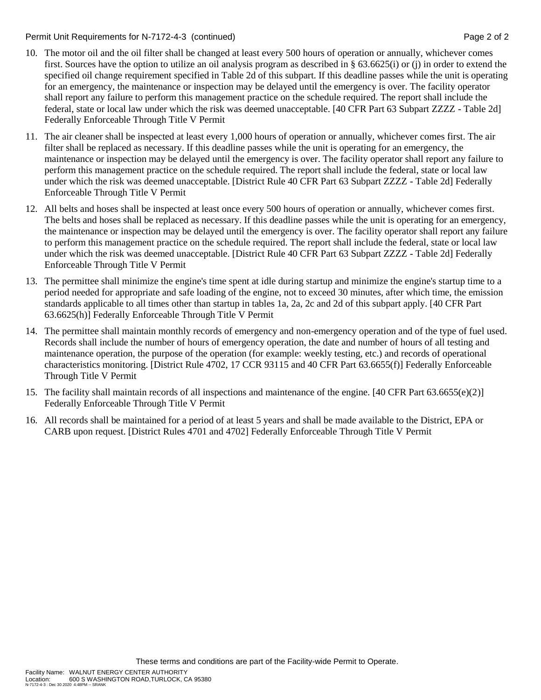#### Permit Unit Requirements for N-7172-4-3 (continued) Page 2 of 2

- 10. The motor oil and the oil filter shall be changed at least every 500 hours of operation or annually, whichever comes first. Sources have the option to utilize an oil analysis program as described in § 63.6625(i) or (j) in order to extend the specified oil change requirement specified in Table 2d of this subpart. If this deadline passes while the unit is operating for an emergency, the maintenance or inspection may be delayed until the emergency is over. The facility operator shall report any failure to perform this management practice on the schedule required. The report shall include the federal, state or local law under which the risk was deemed unacceptable. [40 CFR Part 63 Subpart ZZZZ - Table 2d] Federally Enforceable Through Title V Permit
- 11. The air cleaner shall be inspected at least every 1,000 hours of operation or annually, whichever comes first. The air filter shall be replaced as necessary. If this deadline passes while the unit is operating for an emergency, the maintenance or inspection may be delayed until the emergency is over. The facility operator shall report any failure to perform this management practice on the schedule required. The report shall include the federal, state or local law under which the risk was deemed unacceptable. [District Rule 40 CFR Part 63 Subpart ZZZZ - Table 2d] Federally Enforceable Through Title V Permit
- 12. All belts and hoses shall be inspected at least once every 500 hours of operation or annually, whichever comes first. The belts and hoses shall be replaced as necessary. If this deadline passes while the unit is operating for an emergency, the maintenance or inspection may be delayed until the emergency is over. The facility operator shall report any failure to perform this management practice on the schedule required. The report shall include the federal, state or local law under which the risk was deemed unacceptable. [District Rule 40 CFR Part 63 Subpart ZZZZ - Table 2d] Federally Enforceable Through Title V Permit
- 13. The permittee shall minimize the engine's time spent at idle during startup and minimize the engine's startup time to a period needed for appropriate and safe loading of the engine, not to exceed 30 minutes, after which time, the emission standards applicable to all times other than startup in tables 1a, 2a, 2c and 2d of this subpart apply. [40 CFR Part 63.6625(h)] Federally Enforceable Through Title V Permit
- 14. The permittee shall maintain monthly records of emergency and non-emergency operation and of the type of fuel used. Records shall include the number of hours of emergency operation, the date and number of hours of all testing and maintenance operation, the purpose of the operation (for example: weekly testing, etc.) and records of operational characteristics monitoring. [District Rule 4702, 17 CCR 93115 and 40 CFR Part 63.6655(f)] Federally Enforceable Through Title V Permit
- 15. The facility shall maintain records of all inspections and maintenance of the engine. [40 CFR Part  $63.6655(e)(2)$ ] Federally Enforceable Through Title V Permit
- 16. All records shall be maintained for a period of at least 5 years and shall be made available to the District, EPA or CARB upon request. [District Rules 4701 and 4702] Federally Enforceable Through Title V Permit